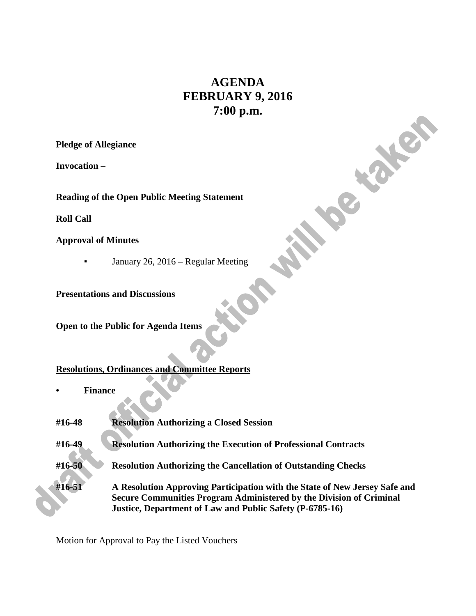# **AGENDA FEBRUARY 9, 2016 7:00 p.m.**

**PRICE** 

**Pledge of Allegiance**

**Invocation** –

**Reading of the Open Public Meeting Statement**

**Roll Call**

**Approval of Minutes**

**•** January 26, 2016 – Regular Meeting

**Presentations and Discussions**

**Open to the Public for Agenda Items**

# **Resolutions, Ordinances and Committee Reports**

**• Finance** 

| #16-48 | <b>Resolution Authorizing a Closed Session</b>                                                                                                                                                                |
|--------|---------------------------------------------------------------------------------------------------------------------------------------------------------------------------------------------------------------|
| #16-49 | <b>Resolution Authorizing the Execution of Professional Contracts</b>                                                                                                                                         |
| #16-50 | <b>Resolution Authorizing the Cancellation of Outstanding Checks</b>                                                                                                                                          |
| #16-51 | A Resolution Approving Participation with the State of New Jersey Safe and<br>Secure Communities Program Administered by the Division of Criminal<br>Justice, Department of Law and Public Safety (P-6785-16) |

Motion for Approval to Pay the Listed Vouchers